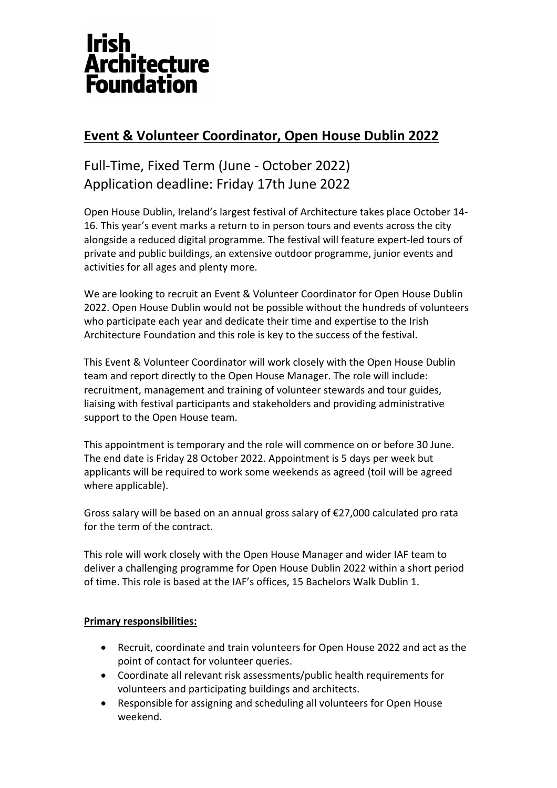# **Irish Architecture Foundation**

# **Event & Volunteer Coordinator, Open House Dublin 2022**

# Full-Time, Fixed Term (June - October 2022) Application deadline: Friday 17th June 2022

Open House Dublin, Ireland's largest festival of Architecture takes place October 14- 16. This year's event marks a return to in person tours and events across the city alongside a reduced digital programme. The festival will feature expert-led tours of private and public buildings, an extensive outdoor programme, junior events and activities for all ages and plenty more.

We are looking to recruit an Event & Volunteer Coordinator for Open House Dublin 2022. Open House Dublin would not be possible without the hundreds of volunteers who participate each year and dedicate their time and expertise to the Irish Architecture Foundation and this role is key to the success of the festival.

This Event & Volunteer Coordinator will work closely with the Open House Dublin team and report directly to the Open House Manager. The role will include: recruitment, management and training of volunteer stewards and tour guides, liaising with festival participants and stakeholders and providing administrative support to the Open House team.

This appointment is temporary and the role will commence on or before 30 June. The end date is Friday 28 October 2022. Appointment is 5 days per week but applicants will be required to work some weekends as agreed (toil will be agreed where applicable).

Gross salary will be based on an annual gross salary of €27,000 calculated pro rata for the term of the contract.

This role will work closely with the Open House Manager and wider IAF team to deliver a challenging programme for Open House Dublin 2022 within a short period of time. This role is based at the IAF's offices, 15 Bachelors Walk Dublin 1.

## **Primary responsibilities:**

- Recruit, coordinate and train volunteers for Open House 2022 and act as the point of contact for volunteer queries.
- Coordinate all relevant risk assessments/public health requirements for volunteers and participating buildings and architects.
- Responsible for assigning and scheduling all volunteers for Open House weekend.